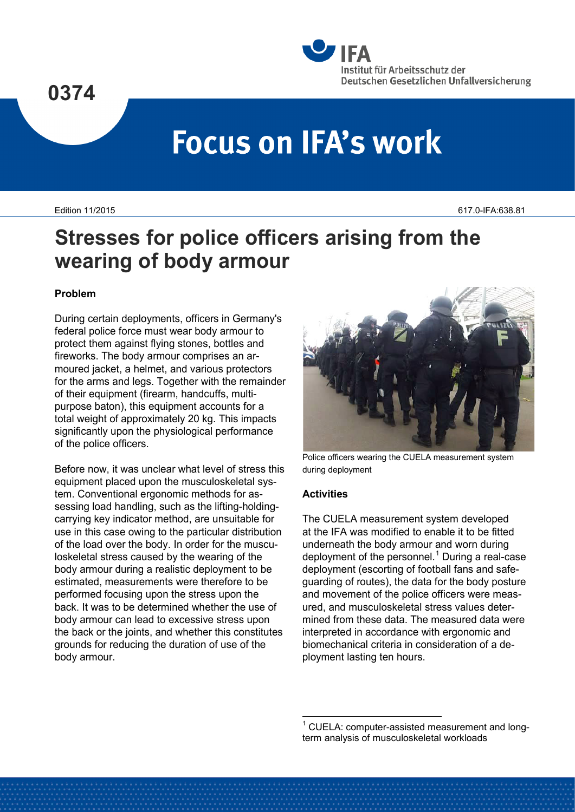

# **Focus on IFA's work**

Edition 11/2015 617.0-IFA:638.81

# **Stresses for police officers arising from the wearing of body armour**

# **Problem**

During certain deployments, officers in Germany's federal police force must wear body armour to protect them against flying stones, bottles and fireworks. The body armour comprises an armoured jacket, a helmet, and various protectors for the arms and legs. Together with the remainder of their equipment (firearm, handcuffs, multipurpose baton), this equipment accounts for a total weight of approximately 20 kg. This impacts significantly upon the physiological performance of the police officers.

<span id="page-0-0"></span>Before now, it was unclear what level of stress this equipment placed upon the musculoskeletal system. Conventional ergonomic methods for assessing load handling, such as the lifting-holdingcarrying key indicator method, are unsuitable for use in this case owing to the particular distribution of the load over the body. In order for the musculoskeletal stress caused by the wearing of the body armour during a realistic deployment to be estimated, measurements were therefore to be performed focusing upon the stress upon the back. It was to be determined whether the use of body armour can lead to excessive stress upon the back or the joints, and whether this constitutes grounds for reducing the duration of use of the body armour.



Police officers wearing the CUELA measurement system during deployment

#### **Activities**

The CUELA measurement system developed at the IFA was modified to enable it to be fitted underneath the body armour and worn during deployment of the personnel.<sup>[1](#page-0-0)</sup> During a real-case deployment (escorting of football fans and safeguarding of routes), the data for the body posture and movement of the police officers were measured, and musculoskeletal stress values determined from these data. The measured data were interpreted in accordance with ergonomic and biomechanical criteria in consideration of a deployment lasting ten hours.

 $1$  CUELA: computer-assisted measurement and longterm analysis of musculoskeletal workloads